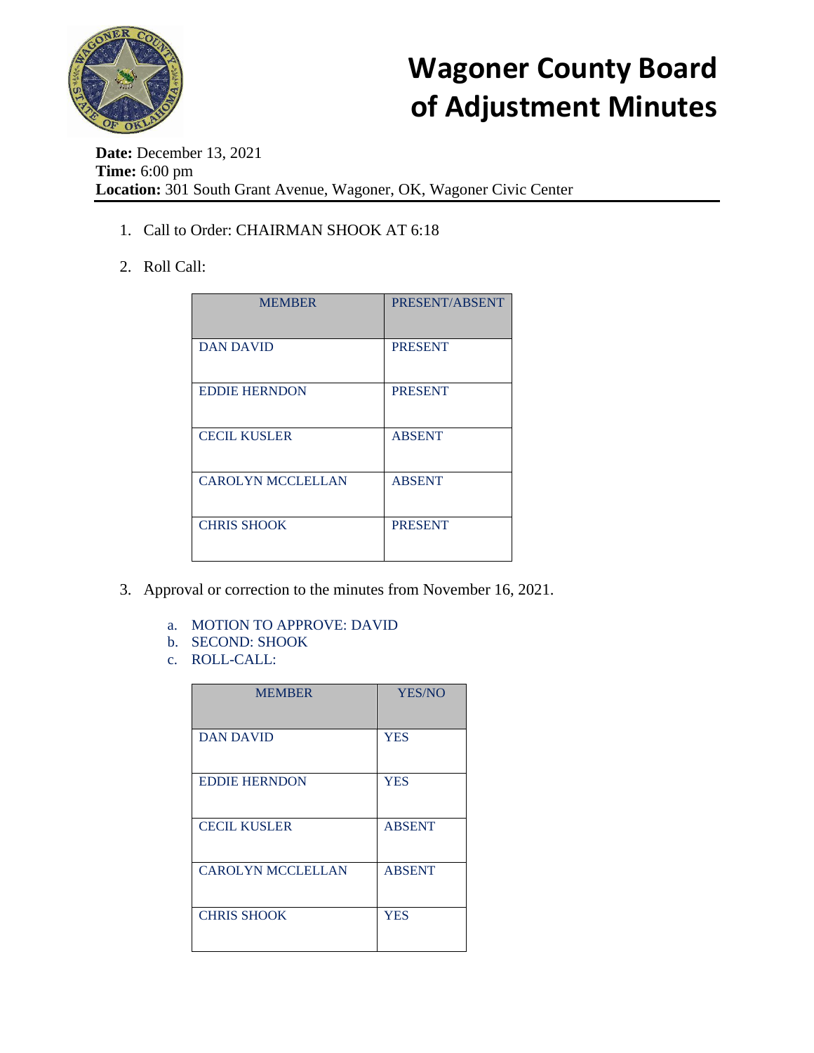

**Date:** December 13, 2021 **Time:** 6:00 pm **Location:** 301 South Grant Avenue, Wagoner, OK, Wagoner Civic Center

- 1. Call to Order: CHAIRMAN SHOOK AT 6:18
- 2. Roll Call:

| <b>MEMBER</b>            | PRESENT/ABSENT |
|--------------------------|----------------|
| <b>DAN DAVID</b>         | <b>PRESENT</b> |
| <b>EDDIE HERNDON</b>     | <b>PRESENT</b> |
| <b>CECIL KUSLER</b>      | <b>ABSENT</b>  |
| <b>CAROLYN MCCLELLAN</b> | <b>ABSENT</b>  |
| <b>CHRIS SHOOK</b>       | <b>PRESENT</b> |

- 3. Approval or correction to the minutes from November 16, 2021.
	- a. MOTION TO APPROVE: DAVID
	- b. SECOND: SHOOK
	- c. ROLL-CALL:

| <b>MEMBER</b>            | YES/NO        |
|--------------------------|---------------|
| <b>DAN DAVID</b>         | <b>YES</b>    |
| <b>EDDIE HERNDON</b>     | <b>YES</b>    |
| <b>CECIL KUSLER</b>      | <b>ABSENT</b> |
| <b>CAROLYN MCCLELLAN</b> | <b>ABSENT</b> |
| <b>CHRIS SHOOK</b>       | <b>YES</b>    |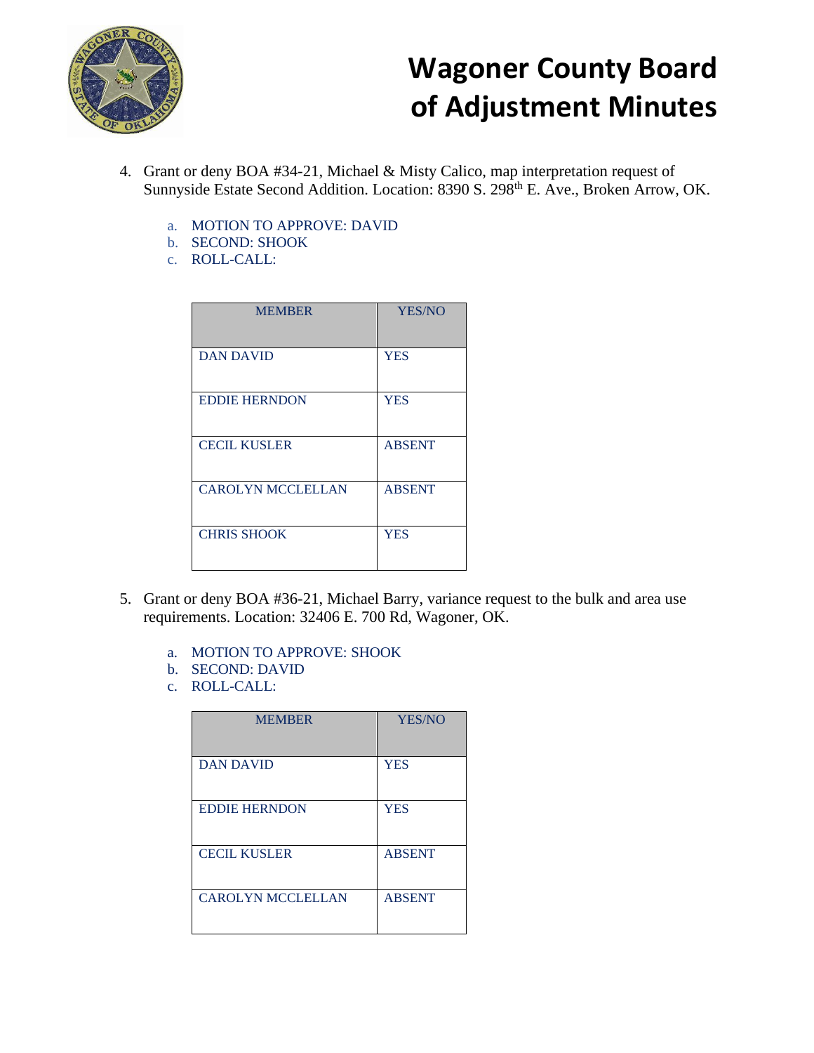

- 4. Grant or deny BOA #34-21, Michael & Misty Calico, map interpretation request of Sunnyside Estate Second Addition. Location: 8390 S. 298<sup>th</sup> E. Ave., Broken Arrow, OK.
	- a. MOTION TO APPROVE: DAVID
	- b. SECOND: SHOOK
	- c. ROLL-CALL:

| <b>MEMBER</b>            | <b>YES/NO</b> |
|--------------------------|---------------|
| <b>DAN DAVID</b>         | <b>YES</b>    |
| <b>EDDIE HERNDON</b>     | <b>YES</b>    |
| <b>CECIL KUSLER</b>      | <b>ABSENT</b> |
| <b>CAROLYN MCCLELLAN</b> | <b>ABSENT</b> |
| <b>CHRIS SHOOK</b>       | <b>YES</b>    |

- 5. Grant or deny BOA #36-21, Michael Barry, variance request to the bulk and area use requirements. Location: 32406 E. 700 Rd, Wagoner, OK.
	- a. MOTION TO APPROVE: SHOOK
	- b. SECOND: DAVID
	- c. ROLL-CALL:

| <b>MEMBER</b>            | <b>YES/NO</b> |
|--------------------------|---------------|
| <b>DAN DAVID</b>         | <b>YES</b>    |
| <b>EDDIE HERNDON</b>     | <b>YES</b>    |
| <b>CECIL KUSLER</b>      | <b>ABSENT</b> |
| <b>CAROLYN MCCLELLAN</b> | <b>ABSENT</b> |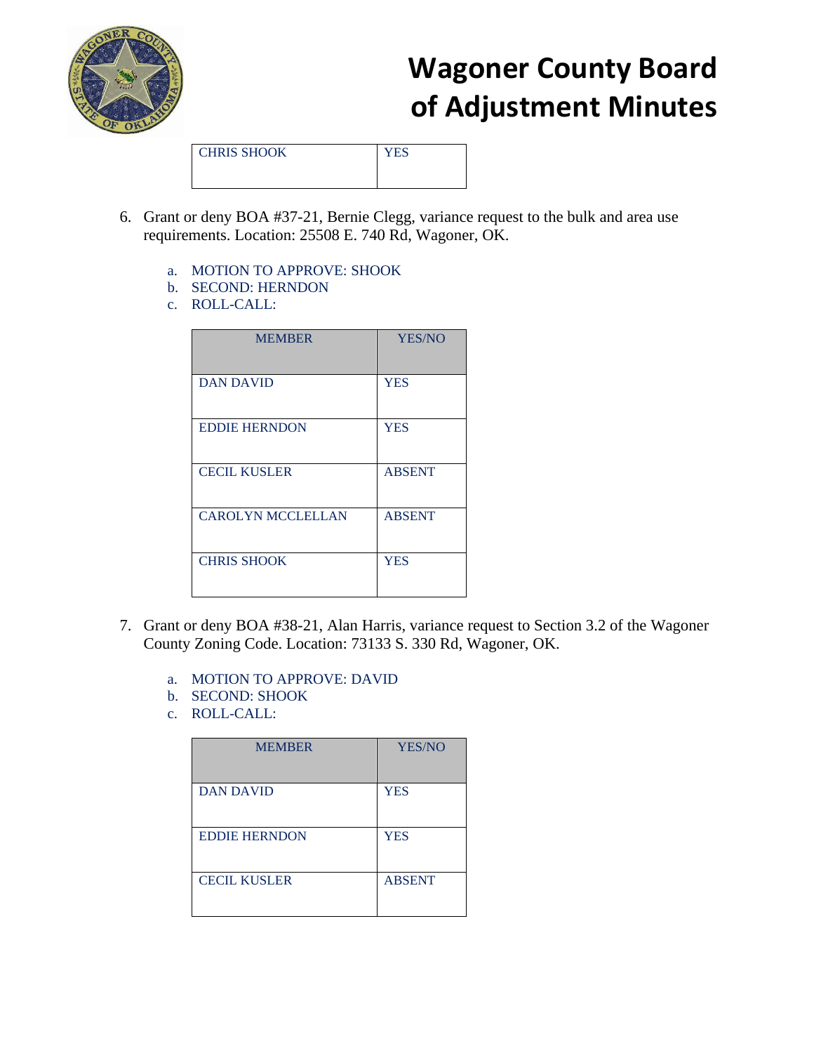

CHRIS SHOOK YES

- 6. Grant or deny BOA #37-21, Bernie Clegg, variance request to the bulk and area use requirements. Location: 25508 E. 740 Rd, Wagoner, OK.
	- a. MOTION TO APPROVE: SHOOK
	- b. SECOND: HERNDON
	- c. ROLL-CALL:

| <b>MEMBER</b>            | YES/NO        |
|--------------------------|---------------|
| <b>DAN DAVID</b>         | <b>YES</b>    |
| <b>EDDIE HERNDON</b>     | <b>YES</b>    |
| <b>CECIL KUSLER</b>      | <b>ABSENT</b> |
| <b>CAROLYN MCCLELLAN</b> | <b>ABSENT</b> |
| <b>CHRIS SHOOK</b>       | <b>YES</b>    |

- 7. Grant or deny BOA #38-21, Alan Harris, variance request to Section 3.2 of the Wagoner County Zoning Code. Location: 73133 S. 330 Rd, Wagoner, OK.
	- a. MOTION TO APPROVE: DAVID
	- b. SECOND: SHOOK
	- c. ROLL-CALL:

| <b>MEMBER</b>        | <b>YES/NO</b> |
|----------------------|---------------|
| <b>DAN DAVID</b>     | <b>YES</b>    |
| <b>EDDIE HERNDON</b> | <b>YES</b>    |
| <b>CECIL KUSLER</b>  | <b>ABSENT</b> |